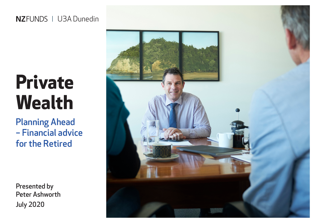#### NZFUNDS | U3A Dunedin

# **Private Wealth**

Planning Ahead – Financial advice for the Retired

Presented by Peter Ashworth July 2020

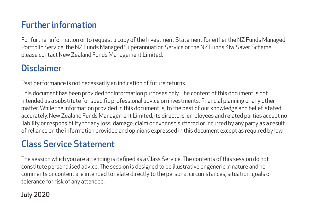### Further information

For further information or to request a copy of the Investment Statement for either the NZ Funds Managed Portfolio Service, the NZ Funds Managed Superannuation Service or the NZ Funds KiwiSaver Scheme please contact New Zealand Funds Management Limited.

### Disclaimer

Past performance is not necessarily an indication of future returns.

This document has been provided for information purposes only. The content of this document is not intended as a substitute for specific professional advice on investments, financial planning or any other matter. While the information provided in this document is, to the best of our knowledge and belief, stated accurately, New Zealand Funds Management Limited, its directors, employees and related parties accept no liability or responsibility for any loss, damage, claim or expense suffered or incurred by any party as a result of reliance on the information provided and opinions expressed in this document except as required by law.

### Class Service Statement

The session which you are attending is defined as a Class Service. The contents of this session do not constitute personalised advice. The session is designed to be illustrative or generic in nature and no comments or content are intended to relate directly to the personal circumstances, situation, goals or tolerance for risk of any attendee.

#### July 2020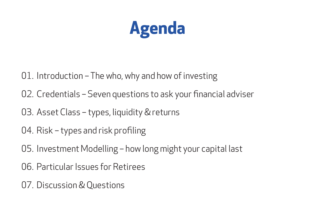

- 01. Introduction The who, why and how of investing
- 02. Credentials Seven questions to ask your financial adviser
- 03. Asset Class types, liquidity & returns
- 04. Risk types and risk profiling
- 05. Investment Modelling how long might your capital last
- 06. Particular Issues for Retirees
- 07. Discussion & Questions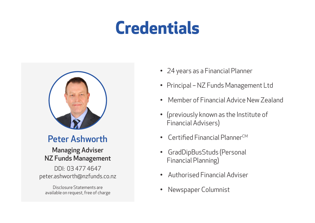## **Credentials**



#### Peter Ashworth

#### Managing Adviser NZ Funds Management

DDI: 03 477 4647 peter.ashworth@nzfunds.co.nz

Disclosure Statements are available on request, free of charge

- 24 years as a Financial Planner
- Principal NZ Funds Management Ltd
- Member of Financial Advice New Zealand
- (previously known as the Institute of Financial Advisers)
- $\epsilon$ Certified Financial PlannerCM
- GradDipBusStuds (Personal Financial Planning)
- Authorised Financial Adviser
- Newspaper Columnist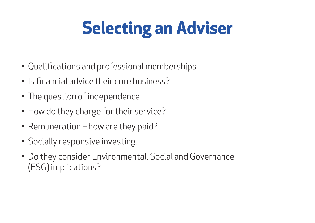## **Selecting an Adviser**

- Qualifications and professional memberships
- Is financial advice their core business?
- The question of independence
- How do they charge for their service?
- Remuneration how are they paid?
- Socially responsive investing.
- Do they consider Environmental, Social and Governance (ESG) implications?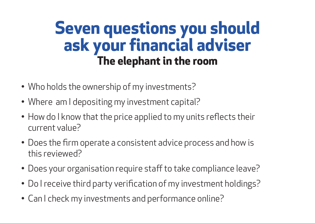## **Seven questions you should ask your financial adviser The elephant in the room**

- Who holds the ownership of my investments?
- Where am I depositing my investment capital?
- How do I know that the price applied to my units reflects their current value?
- Does the firm operate a consistent advice process and how is this reviewed?
- Does your organisation require staff to take compliance leave?
- Do I receive third party verification of my investment holdings?
- Can I check my investments and performance online?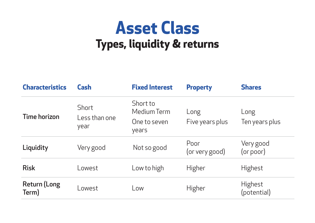## **Asset Class Types, liquidity & returns**

| <b>Characteristics</b>       | Cash                                  | <b>Fixed Interest</b>                            | <b>Property</b>         | <b>Shares</b>          |
|------------------------------|---------------------------------------|--------------------------------------------------|-------------------------|------------------------|
| <b>Time horizon</b>          | <b>Short</b><br>Less than one<br>year | Short to<br>Medium Term<br>One to seven<br>years | Long<br>Five years plus | Long<br>Ten years plus |
| Liquidity                    | Very good                             | Not so good                                      | Poor<br>(or very good)  | Very good<br>(or poor) |
| <b>Risk</b>                  | Lowest                                | Low to high                                      | <b>Higher</b>           | <b>Highest</b>         |
| <b>Return (Long</b><br>Term) | _owest                                | Low                                              | <b>Higher</b>           | Highest<br>(potential) |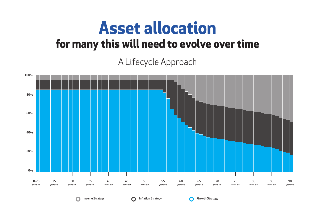### **Asset allocation for many this will need to evolve over time**

### A Lifecycle Approach



Income Strategy **Inflation Strategy Conserverse Conserverse Conserverse Conserverse Conserverse Conserverse Conserverse Conserverse Conserverse Conserverse Conserverse Conserverse Conserverse Conserverse Conserverse Cons**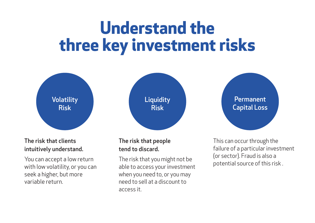## **Understand the three key investment risks**



#### The risk that clients intuitively understand.

You can accept a low return with low volatility, or you can seek a higher, but more variable return.

#### The risk that people tend to discard.

The risk that you might not be able to access your investment when you need to, or you may need to sell at a discount to access it.

This can occur through the failure of a particular investment (or sector). Fraud is also a potential source of this risk .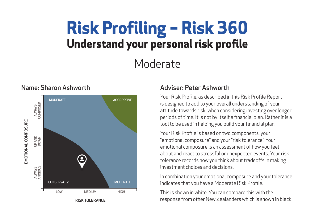## **Risk Profiling – Risk 360 Understand your personal risk profile**

### Moderate



#### Name: Sharon Ashworth Adviser: Peter Ashworth

Your Risk Profile, as described in this Risk Profile Report is designed to add to your overall understanding of your attitude towards risk, when considering investing over longer periods of time. It is not by itself a financial plan. Rather it is a tool to be used in helping you build your financial plan.

Your Risk Profile is based on two components, your "emotional composure" and your "risk tolerance". Your emotional composure is an assessment of how you feel about and react to stressful or unexpected events. Your risk tolerance records how you think about tradeoffs in making investment choices and decisions.

In combination your emotional composure and your tolerance indicates that you have a Moderate Risk Profile.

This is shown in white. You can compare this with the response from other New Zealanders which is shown in black.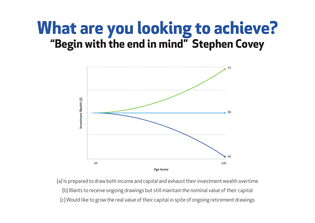### **What are you looking to achieve? "Begin with the end in mind" Stephen Covey**



(a) Is prepared to draw both income and capital and exhaust their investment wealth overtime (b) Wants to receive ongoing drawings but still maintain the nominal value of their capital (c) Would like to grow the real value of their capital in spite of ongoing retirement drawings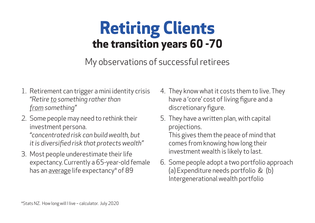## **Retiring Clients the transition years 60 -70**

My observations of successful retirees

- 1. Retirement can trigger a mini identity crisis *"Retire to something rather than from something"*
- 2. Some people may need to rethink their investment persona. *"concentrated risk can build wealth, but it is diversified risk that protects wealth"*
- 3. Most people underestimate their life expectancy. Currently a 65-year-old female has an <u>average</u> life expectancy\* of 89
- 4. They know what it costs them to live. They have a 'core' cost of living figure and a discretionary figure.
- 5. They have a written plan, with capital projections.

This gives them the peace of mind that comes from knowing how long their investment wealth is likely to last.

6. Some people adopt a two portfolio approach (a) Expenditure needs portfolio & (b) Intergenerational wealth portfolio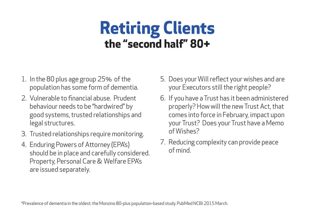## **Retiring Clients the "second half" 80+**

- 1. In the 80 plus age group 25% of the population has some form of dementia.
- 2. Vulnerable to financial abuse. Prudent behaviour needs to be "hardwired" by good systems, trusted relationships and legal structures.
- 3. Trusted relationships require monitoring.
- 4. Enduring Powers of Attorney (EPA's) should be in place and carefully considered. Property, Personal Care & Welfare EPA's are issued separately.
- 5. Does your Will reflect your wishes and are your Executors still the right people?
- 6. If you have a Trust has it been administered properly? How will the new Trust Act, that comes into force in February, impact upon your Trust? Does your Trust have a Memo of Wishes?
- 7. Reducing complexity can provide peace of mind.

\*Prevalence of dementia in the oldest: the Monzino 80-plus population-based study. PubMed NCBI 2015 March.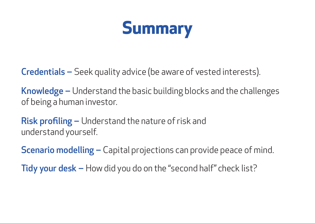

**Credentials –** Seek quality advice (be aware of vested interests).

Knowledge – Understand the basic building blocks and the challenges of being a human investor.

**Risk profiling –** Understand the nature of risk and understand yourself.

**Scenario modelling –** Capital projections can provide peace of mind.

**Tidy your desk –** How did you do on the "second half" check list?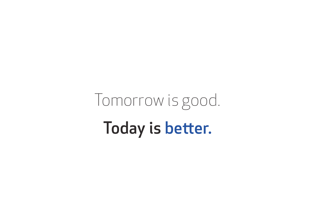Tomorrow is good. Today is better.